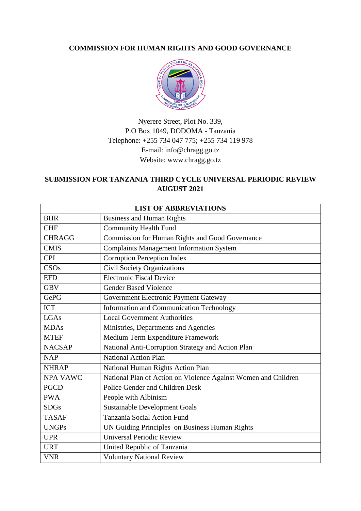## **COMMISSION FOR HUMAN RIGHTS AND GOOD GOVERNANCE**



Nyerere Street, Plot No. 339, P.O Box 1049, DODOMA - Tanzania Telephone: +255 734 047 775; +255 734 119 978 E-mail: info@chragg.go.tz Website: www.chragg.go.tz

# **SUBMISSION FOR TANZANIA THIRD CYCLE UNIVERSAL PERIODIC REVIEW AUGUST 2021**

| <b>LIST OF ABBREVIATIONS</b> |                                                                |
|------------------------------|----------------------------------------------------------------|
| <b>BHR</b>                   | <b>Business and Human Rights</b>                               |
| <b>CHF</b>                   | <b>Community Health Fund</b>                                   |
| <b>CHRAGG</b>                | <b>Commission for Human Rights and Good Governance</b>         |
| <b>CMIS</b>                  | <b>Complaints Management Information System</b>                |
| <b>CPI</b>                   | <b>Corruption Perception Index</b>                             |
| CSOs                         | <b>Civil Society Organizations</b>                             |
| <b>EFD</b>                   | <b>Electronic Fiscal Device</b>                                |
| <b>GBV</b>                   | <b>Gender Based Violence</b>                                   |
| <b>GePG</b>                  | Government Electronic Payment Gateway                          |
| <b>ICT</b>                   | Information and Communication Technology                       |
| LGAs                         | <b>Local Government Authorities</b>                            |
| <b>MDAs</b>                  | Ministries, Departments and Agencies                           |
| <b>MTEF</b>                  | Medium Term Expenditure Framework                              |
| <b>NACSAP</b>                | National Anti-Corruption Strategy and Action Plan              |
| NAP                          | <b>National Action Plan</b>                                    |
| <b>NHRAP</b>                 | National Human Rights Action Plan                              |
| <b>NPA VAWC</b>              | National Plan of Action on Violence Against Women and Children |
| <b>PGCD</b>                  | Police Gender and Children Desk                                |
| <b>PWA</b>                   | People with Albinism                                           |
| <b>SDGs</b>                  | <b>Sustainable Development Goals</b>                           |
| <b>TASAF</b>                 | Tanzania Social Action Fund                                    |
| <b>UNGPs</b>                 | UN Guiding Principles on Business Human Rights                 |
| <b>UPR</b>                   | <b>Universal Periodic Review</b>                               |
| <b>URT</b>                   | United Republic of Tanzania                                    |
| <b>VNR</b>                   | <b>Voluntary National Review</b>                               |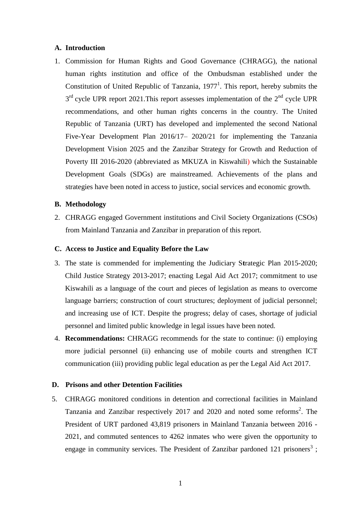## **A. Introduction**

1. Commission for Human Rights and Good Governance (CHRAGG), the national human rights institution and office of the Ombudsman established under the Constitution of United Republic of Tanzania,  $1977<sup>1</sup>$ . This report, hereby submits the  $3<sup>rd</sup>$  cycle UPR report 2021. This report assesses implementation of the  $2<sup>nd</sup>$  cycle UPR recommendations, and other human rights concerns in the country. The United Republic of Tanzania (URT) has developed and implemented the second National Five-Year Development Plan 2016/17– 2020/21 for implementing the Tanzania Development Vision 2025 and the Zanzibar Strategy for Growth and Reduction of Poverty III 2016-2020 (abbreviated as MKUZA in Kiswahili) which the Sustainable Development Goals (SDGs) are mainstreamed. Achievements of the plans and strategies have been noted in access to justice, social services and economic growth.

## **B. Methodology**

2. CHRAGG engaged Government institutions and Civil Society Organizations (CSOs) from Mainland Tanzania and Zanzibar in preparation of this report.

#### **C. Access to Justice and Equality Before the Law**

- 3. The state is commended for implementing the Judiciary S**t**rategic Plan 2015-2020; Child Justice Strategy 2013-2017; enacting Legal Aid Act 2017; commitment to use Kiswahili as a language of the court and pieces of legislation as means to overcome language barriers; construction of court structures; deployment of judicial personnel; and increasing use of ICT. Despite the progress; delay of cases, shortage of judicial personnel and limited public knowledge in legal issues have been noted.
- 4. **Recommendations:** CHRAGG recommends for the state to continue: (i) employing more judicial personnel (ii) enhancing use of mobile courts and strengthen ICT communication (iii) providing public legal education as per the Legal Aid Act 2017.

## **D. Prisons and other Detention Facilities**

5. CHRAGG monitored conditions in detention and correctional facilities in Mainland Tanzania and Zanzibar respectively 2017 and 2020 and noted some reforms<sup>2</sup>. The President of URT pardoned 43,819 prisoners in Mainland Tanzania between 2016 - 2021, and commuted sentences to 4262 inmates who were given the opportunity to engage in community services. The President of Zanzibar pardoned 121 prisoners<sup>3</sup>;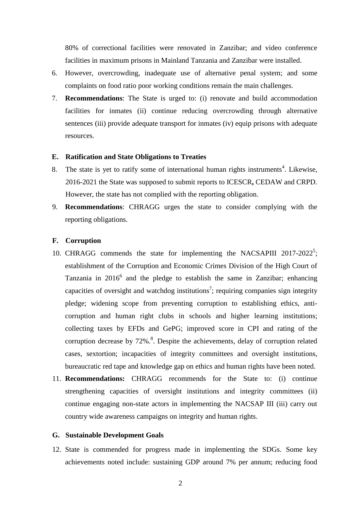80% of correctional facilities were renovated in Zanzibar; and video conference facilities in maximum prisons in Mainland Tanzania and Zanzibar were installed.

- 6. However, overcrowding, inadequate use of alternative penal system; and some complaints on food ratio poor working conditions remain the main challenges.
- 7. **Recommendations**: The State is urged to: (i) renovate and build accommodation facilities for inmates (ii) continue reducing overcrowding through alternative sentences (iii) provide adequate transport for inmates (iv) equip prisons with adequate resources.

## **E. Ratification and State Obligations to Treaties**

- 8. The state is yet to ratify some of international human rights instruments<sup>4</sup>. Likewise, 2016-2021 the State was supposed to submit reports to ICESCR**,** CEDAW and CRPD. However, the state has not complied with the reporting obligation.
- 9. **Recommendations**: CHRAGG urges the state to consider complying with the reporting obligations.

#### **F. Corruption**

- 10. CHRAGG commends the state for implementing the NACSAPIII  $2017-2022^5$ ; establishment of the Corruption and Economic Crimes Division of the High Court of Tanzania in  $2016^6$  and the pledge to establish the same in Zanzibar; enhancing capacities of oversight and watchdog institutions<sup>7</sup>; requiring companies sign integrity pledge; widening scope from preventing corruption to establishing ethics, anticorruption and human right clubs in schools and higher learning institutions; collecting taxes by EFDs and GePG; improved score in CPI and rating of the corruption decrease by  $72\%$ .<sup>8</sup>. Despite the achievements, delay of corruption related cases, sextortion; incapacities of integrity committees and oversight institutions, bureaucratic red tape and knowledge gap on ethics and human rights have been noted.
- 11. **Recommendations:** CHRAGG recommends for the State to: (i) continue strengthening capacities of oversight institutions and integrity committees (ii) continue engaging non-state actors in implementing the NACSAP III (iii) carry out country wide awareness campaigns on integrity and human rights.

## **G. Sustainable Development Goals**

12. State is commended for progress made in implementing the SDGs. Some key achievements noted include: sustaining GDP around 7% per annum; reducing food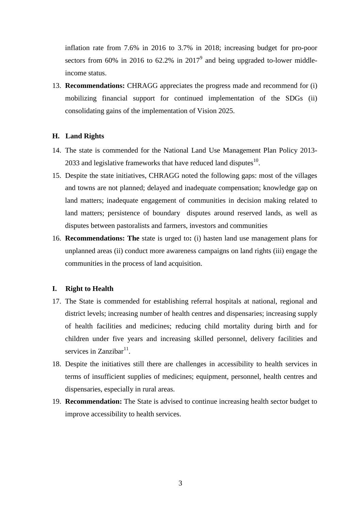inflation rate from 7.6% in 2016 to 3.7% in 2018; increasing budget for pro-poor sectors from 60% in 2016 to 62.2% in 2017<sup>9</sup> and being upgraded to-lower middleincome status.

13. **Recommendations:** CHRAGG appreciates the progress made and recommend for (i) mobilizing financial support for continued implementation of the SDGs (ii) consolidating gains of the implementation of Vision 2025.

#### **H. Land Rights**

- 14. The state is commended for the National Land Use Management Plan Policy 2013- 2033 and legislative frameworks that have reduced land disputes $^{10}$ .
- 15. Despite the state initiatives, CHRAGG noted the following gaps: most of the villages and towns are not planned; delayed and inadequate compensation; knowledge gap on land matters; inadequate engagement of communities in decision making related to land matters; persistence of boundary disputes around reserved lands, as well as disputes between pastoralists and farmers, investors and communities
- 16. **Recommendations: The** state is urged to**:** (i) hasten land use management plans for unplanned areas (ii) conduct more awareness campaigns on land rights (iii) engage the communities in the process of land acquisition.

## **I. Right to Health**

- 17. The State is commended for establishing referral hospitals at national, regional and district levels; increasing number of health centres and dispensaries; increasing supply of health facilities and medicines; reducing child mortality during birth and for children under five years and increasing skilled personnel, delivery facilities and services in Zanzibar $11$ .
- 18. Despite the initiatives still there are challenges in accessibility to health services in terms of insufficient supplies of medicines; equipment, personnel, health centres and dispensaries, especially in rural areas.
- 19. **Recommendation:** The State is advised to continue increasing health sector budget to improve accessibility to health services.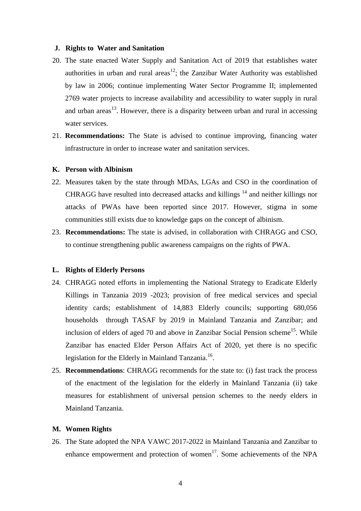#### **J. Rights to Water and Sanitation**

- 20. The state enacted Water Supply and Sanitation Act of 2019 that establishes water authorities in urban and rural areas<sup>12</sup>; the Zanzibar Water Authority was established by law in 2006; continue implementing Water Sector Programme II; implemented 2769 water projects to increase availability and accessibility to water supply in rural and urban areas<sup>13</sup>. However, there is a disparity between urban and rural in accessing water services.
- 21. **Recommendations:** The State is advised to continue improving, financing water infrastructure in order to increase water and sanitation services.

## **K. Person with Albinism**

- 22. Measures taken by the state through MDAs, LGAs and CSO in the coordination of CHRAGG have resulted into decreased attacks and killings <sup>14</sup> and neither killings nor attacks of PWAs have been reported since 2017. However, stigma in some communities still exists due to knowledge gaps on the concept of albinism.
- 23. **Recommendations:** The state is advised, in collaboration with CHRAGG and CSO, to continue strengthening public awareness campaigns on the rights of PWA.

## **L. Rights of Elderly Persons**

- 24. CHRAGG noted efforts in implementing the National Strategy to Eradicate Elderly Killings in Tanzania 2019 -2023; provision of free medical services and special identity cards; establishment of 14,883 Elderly councils; supporting 680,056 households through TASAF by 2019 in Mainland Tanzania and Zanzibar; and inclusion of elders of aged 70 and above in Zanzibar Social Pension scheme<sup>15</sup>. While Zanzibar has enacted Elder Person Affairs Act of 2020, yet there is no specific legislation for the Elderly in Mainland Tanzania.<sup>16</sup>.
- 25. **Recommendations**: CHRAGG recommends for the state to: (i) fast track the process of the enactment of the legislation for the elderly in Mainland Tanzania (ii) take measures for establishment of universal pension schemes to the needy elders in Mainland Tanzania.

## **M. Women Rights**

26. The State adopted the NPA VAWC 2017-2022 in Mainland Tanzania and Zanzibar to enhance empowerment and protection of women<sup>17</sup>. Some achievements of the NPA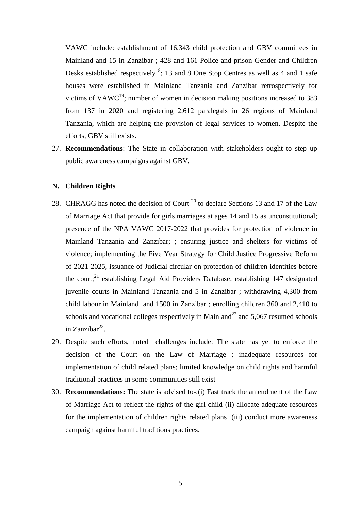VAWC include: establishment of 16,343 child protection and GBV committees in Mainland and 15 in Zanzibar ; 428 and 161 Police and prison Gender and Children Desks established respectively<sup>18</sup>; 13 and 8 One Stop Centres as well as 4 and 1 safe houses were established in Mainland Tanzania and Zanzibar retrospectively for victims of  $VAWC^{19}$ ; number of women in decision making positions increased to 383 from 137 in 2020 and registering 2,612 paralegals in 26 regions of Mainland Tanzania, which are helping the provision of legal services to women. Despite the efforts, GBV still exists.

27. **Recommendations**: The State in collaboration with stakeholders ought to step up public awareness campaigns against GBV.

#### **N. Children Rights**

- 28. CHRAGG has noted the decision of Court<sup>20</sup> to declare Sections 13 and 17 of the Law of Marriage Act that provide for girls marriages at ages 14 and 15 as unconstitutional; presence of the NPA VAWC 2017-2022 that provides for protection of violence in Mainland Tanzania and Zanzibar; ; ensuring justice and shelters for victims of violence; implementing the Five Year Strategy for Child Justice Progressive Reform of 2021-2025, issuance of Judicial circular on protection of children identities before the court;<sup>21</sup> establishing Legal Aid Providers Database; establishing 147 designated juvenile courts in Mainland Tanzania and 5 in Zanzibar ; withdrawing 4,300 from child labour in Mainland and 1500 in Zanzibar ; enrolling children 360 and 2,410 to schools and vocational colleges respectively in Mainland<sup>22</sup> and  $5.067$  resumed schools in Zanzibar $^{23}$ .
- 29. Despite such efforts, noted challenges include: The state has yet to enforce the decision of the Court on the Law of Marriage ; inadequate resources for implementation of child related plans; limited knowledge on child rights and harmful traditional practices in some communities still exist
- 30. **Recommendations:** The state is advised to-:(i) Fast track the amendment of the Law of Marriage Act to reflect the rights of the girl child (ii) allocate adequate resources for the implementation of children rights related plans (iii) conduct more awareness campaign against harmful traditions practices.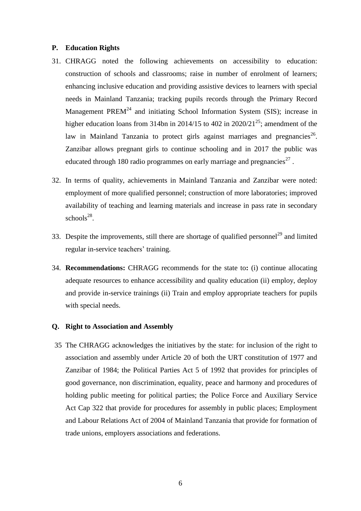#### **P. Education Rights**

- 31. CHRAGG noted the following achievements on accessibility to education: construction of schools and classrooms; raise in number of enrolment of learners; enhancing inclusive education and providing assistive devices to learners with special needs in Mainland Tanzania; tracking pupils records through the Primary Record Management  $PREM<sup>24</sup>$  and initiating School Information System (SIS); increase in higher education loans from 314bn in 2014/15 to 402 in 2020/21<sup>25</sup>; amendment of the law in Mainland Tanzania to protect girls against marriages and pregnancies<sup>26</sup>. Zanzibar allows pregnant girls to continue schooling and in 2017 the public was educated through 180 radio programmes on early marriage and pregnancies<sup>27</sup>.
- 32. In terms of quality, achievements in Mainland Tanzania and Zanzibar were noted: employment of more qualified personnel; construction of more laboratories; improved availability of teaching and learning materials and increase in pass rate in secondary  $schools<sup>28</sup>$ .
- 33. Despite the improvements, still there are shortage of qualified personnel<sup>29</sup> and limited regular in-service teachers' training.
- 34. **Recommendations:** CHRAGG recommends for the state to**:** (i) continue allocating adequate resources to enhance accessibility and quality education (ii) employ, deploy and provide in-service trainings (ii) Train and employ appropriate teachers for pupils with special needs.

#### **Q. Right to Association and Assembly**

35 The CHRAGG acknowledges the initiatives by the state: for inclusion of the right to association and assembly under Article 20 of both the URT constitution of 1977 and Zanzibar of 1984; the Political Parties Act 5 of 1992 that provides for principles of good governance, non discrimination, equality, peace and harmony and procedures of holding public meeting for political parties; the Police Force and Auxiliary Service Act Cap 322 that provide for procedures for assembly in public places; Employment and Labour Relations Act of 2004 of Mainland Tanzania that provide for formation of trade unions, employers associations and federations.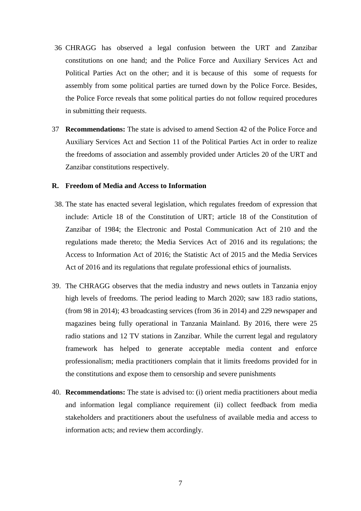- 36 CHRAGG has observed a legal confusion between the URT and Zanzibar constitutions on one hand; and the Police Force and Auxiliary Services Act and Political Parties Act on the other; and it is because of this some of requests for assembly from some political parties are turned down by the Police Force. Besides, the Police Force reveals that some political parties do not follow required procedures in submitting their requests.
- 37 **Recommendations:** The state is advised to amend Section 42 of the Police Force and Auxiliary Services Act and Section 11 of the Political Parties Act in order to realize the freedoms of association and assembly provided under Articles 20 of the URT and Zanzibar constitutions respectively.

#### **R. Freedom of Media and Access to Information**

- 38. The state has enacted several legislation, which regulates freedom of expression that include: Article 18 of the Constitution of URT; article 18 of the Constitution of Zanzibar of 1984; the Electronic and Postal Communication Act of 210 and the regulations made thereto; the Media Services Act of 2016 and its regulations; the Access to Information Act of 2016; the Statistic Act of 2015 and the Media Services Act of 2016 and its regulations that regulate professional ethics of journalists.
- 39. The CHRAGG observes that the media industry and news outlets in Tanzania enjoy high levels of freedoms. The period leading to March 2020; saw 183 radio stations, (from 98 in 2014); 43 broadcasting services (from 36 in 2014) and 229 newspaper and magazines being fully operational in Tanzania Mainland. By 2016, there were 25 radio stations and 12 TV stations in Zanzibar. While the current legal and regulatory framework has helped to generate acceptable media content and enforce professionalism; media practitioners complain that it limits freedoms provided for in the constitutions and expose them to censorship and severe punishments
- 40. **Recommendations:** The state is advised to: (i) orient media practitioners about media and information legal compliance requirement (ii) collect feedback from media stakeholders and practitioners about the usefulness of available media and access to information acts; and review them accordingly.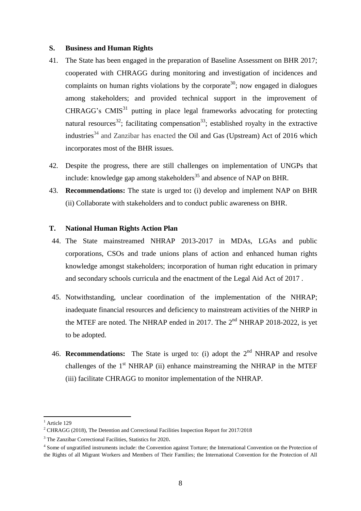#### **S. Business and Human Rights**

- 41. The State has been engaged in the preparation of Baseline Assessment on BHR 2017; cooperated with CHRAGG during monitoring and investigation of incidences and complaints on human rights violations by the corporate<sup>30</sup>; now engaged in dialogues among stakeholders; and provided technical support in the improvement of  $CHRAGG's CMIS<sup>31</sup>$  putting in place legal frameworks advocating for protecting natural resources<sup>32</sup>; facilitating compensation<sup>33</sup>; established royalty in the extractive industries<sup>34</sup> and Zanzibar has enacted the Oil and Gas (Upstream) Act of 2016 which incorporates most of the BHR issues.
- 42. Despite the progress, there are still challenges on implementation of UNGPs that include: knowledge gap among stakeholders<sup>35</sup> and absence of NAP on BHR.
- 43. **Recommendations:** The state is urged to**:** (i) develop and implement NAP on BHR (ii) Collaborate with stakeholders and to conduct public awareness on BHR.

## **T. National Human Rights Action Plan**

- 44. The State mainstreamed NHRAP 2013-2017 in MDAs, LGAs and public corporations, CSOs and trade unions plans of action and enhanced human rights knowledge amongst stakeholders; incorporation of human right education in primary and secondary schools curricula and the enactment of the Legal Aid Act of 2017 .
- 45. Notwithstanding, unclear coordination of the implementation of the NHRAP; inadequate financial resources and deficiency to mainstream activities of the NHRP in the MTEF are noted. The NHRAP ended in 2017. The  $2<sup>nd</sup>$  NHRAP 2018-2022, is yet to be adopted.
- 46. **Recommendations:** The State is urged to: (i) adopt the  $2<sup>nd</sup>$  NHRAP and resolve challenges of the  $1<sup>st</sup> NHRAP$  (ii) enhance mainstreaming the NHRAP in the MTEF (iii) facilitate CHRAGG to monitor implementation of the NHRAP.

**.** 

 $<sup>1</sup>$  Article 129</sup>

<sup>2</sup> CHRAGG (2018), The Detention and Correctional Facilities Inspection Report for 2017/2018

<sup>&</sup>lt;sup>3</sup> The Zanzibar Correctional Facilities, Statistics for 2020.

<sup>&</sup>lt;sup>4</sup> Some of ungratified instruments include: the Convention against Torture; the International Convention on the Protection of the Rights of all Migrant Workers and Members of Their Families; the International Convention for the Protection of All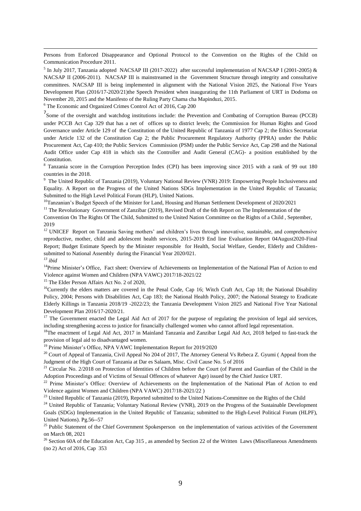Persons from Enforced Disappearance and Optional Protocol to the Convention on the Rights of the Child on Communication Procedure 2011.

<sup>5</sup> In July 2017, Tanzania adopted NACSAP III (2017-2022) after successful implementation of NACSAP I (2001-2005) & NACSAP II (2006-2011). NACSAP III is mainstreamed in the Government Structure through integrity and consultative committees. NACSAP III is being implemented in alignment with the National Vision 2025, the National Five Years Development Plan (2016/17-2020/21)the Speech President when inaugurating the 11th Parliament of URT in Dodoma on November 20, 2015 and the Manifesto of the Ruling Party Chama cha Mapinduzi, 2015.

<sup>6</sup> The Economic and Organized Crimes Control Act of 2016, Cap 200

1

<sup>7</sup> Some of the oversight and watchdog institutions include: the Prevention and Combating of Corruption Bureau (PCCB) under PCCB Act Cap 329 that has a net of offices up to district levels; the Commission for Human Rights and Good Governance under Article 129 of the Constitution of the United Republic of Tanzania of 1977 Cap 2; the Ethics Secretariat under Article 132 of the Constitution Cap 2; the Public Procurement Regulatory Authority (PPRA) under the Public Procurement Act, Cap 410; the Public Services Commission (PSM) under the Public Service Act, Cap 298 and the National Audit Office under Cap 418 in which sits the Controller and Audit General (CAG)- a position established by the Constitution.

<sup>8</sup> Tanzania score in the Corruption Perception Index (CPI) has been improving since 2015 with a rank of 99 out 180 countries in the 2018.

<sup>9</sup> The United Republic of Tanzania (2019), Voluntary National Review (VNR) 2019: Empowering People Inclusiveness and Equality. A Report on the Progress of the United Nations SDGs Implementation in the United Republic of Tanzania; Submitted to the High Level Political Forum (HLP), United Nations.

 $10$ Tanzanian's Budget Speech of the Minister for Land, Housing and Human Settlement Development of 2020/2021

<sup>11</sup> The Revolutionary Government of Zanzibar (2019), Revised Draft of the 6th Report on The Implementation of the Convention On The Rights Of The Child, Submitted to the United Nation Committee on the Rights of a Child , September, 2019

<sup>12</sup> UNICEF Report on Tanzania Saving mothers' and children's lives through innovative, sustainable, and comprehensive reproductive, mother, child and adolescent health services, 2015-2019 End line Evaluation Report 04August2020-Final Report; Budget Estimate Speech by the Minister responsible for Health, Social Welfare, Gender, Elderly and Childrensubmitted to National Assembly during the Financial Year 2020/021*. <sup>13</sup> ibid*

<sup>14</sup>Prime Minister's Office, Fact sheet: Overview of Achievements on Implementation of the National Plan of Action to end Violence against Women and Children (NPA VAWC) 2017/18-2021/22

<sup>15</sup> The Elder Person Affairs Act No. 2 of 2020,

<sup>16</sup>Currently the elders matters are covered in the Penal Code, Cap 16; Witch Craft Act, Cap 18; the National Disability Policy, 2004; Persons with Disabilities Act, Cap 183; the National Health Policy, 2007; the National Strategy to Eradicate Elderly Killings in Tanzania 2018/19 -2022/23; the Tanzania Development Vision 2025 and National Five Year National Development Plan 2016/17-2020/21.

 $17$  The Government enacted the Legal Aid Act of 2017 for the purpose of regulating the provision of legal aid services, including strengthening access to justice for financially challenged women who cannot afford legal representation.

<sup>18</sup>The enactment of Legal Aid Act, 2017 in Mainland Tanzania and Zanzibar Legal Aid Act, 2018 helped to fast-track the provision of legal aid to disadvantaged women.

<sup>19</sup> Prime Minister's Office, NPA VAWC Implementation Report for 2019/2020

 $20$  Court of Appeal of Tanzania, Civil Appeal No 204 of 2017, The Attorney General Vs Rebeca Z. Gyumi (Appeal from the Judgment of the High Court of Tanzania at Dar es Salaam, Misc. Civil Cause No. 5 of 2016

 $21$  Circular No. 2/2018 on Protection of Identities of Children before the Court (of Parent and Guardian of the Child in the Adoption Proceedings and of Victims of Sexual Offences of whatever Age) issued by the Chief Justice URT.

<sup>22</sup> Prime Minister's Office: Overview of Achievements on the Implementation of the National Plan of Action to end Violence against Women and Children (NPA VAWC) 2017/18-2021/22 )

<sup>23</sup> United Republic of Tanzania (2019), Reported submitted to the United Nations-Committee on the Rights of the Child

<sup>24</sup> United Republic of Tanzania; Voluntary National Review (VNR), 2019 on the Progress of the Sustainable Development Goals (SDGs) Implementation in the United Republic of Tanzania; submitted to the High-Level Political Forum (HLPF), United Nations). Pg.56--57

<sup>25</sup> Public Statement of the Chief Government Spokesperson on the implementation of various activities of the Government on March 08, 2021

<sup>26</sup> Section 60A of the Education Act, Cap 315, as amended by Section 22 of the Written Laws (Miscellaneous Amendments (no 2) Act of 2016, Cap 353